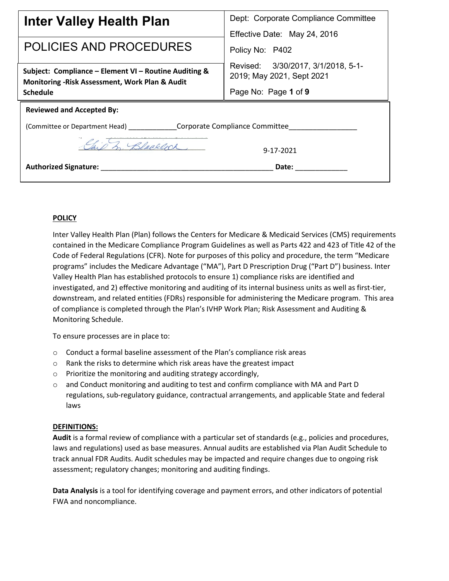| <b>Inter Valley Health Plan</b>                                                                          | Dept: Corporate Compliance Committee<br>Effective Date: May 24, 2016 |
|----------------------------------------------------------------------------------------------------------|----------------------------------------------------------------------|
| POLICIES AND PROCEDURES                                                                                  | Policy No: P402                                                      |
| Subject: Compliance - Element VI - Routine Auditing &<br>Monitoring - Risk Assessment, Work Plan & Audit | Revised: 3/30/2017, 3/1/2018, 5-1-<br>2019; May 2021, Sept 2021      |
| <b>Schedule</b>                                                                                          | Page No: Page 1 of 9                                                 |
| <b>Reviewed and Accepted By:</b>                                                                         |                                                                      |
| (Committee or Department Head) _________________Corporate Compliance Committee____                       |                                                                      |
| Blacklock                                                                                                | 9-17-2021                                                            |
| <b>Authorized Signature:</b>                                                                             | Date:                                                                |

### **POLICY**

Inter Valley Health Plan (Plan) follows the Centers for Medicare & Medicaid Services (CMS) requirements contained in the Medicare Compliance Program Guidelines as well as Parts 422 and 423 of Title 42 of the Code of Federal Regulations (CFR). Note for purposes of this policy and procedure, the term "Medicare programs" includes the Medicare Advantage ("MA"), Part D Prescription Drug ("Part D") business. Inter Valley Health Plan has established protocols to ensure 1) compliance risks are identified and investigated, and 2) effective monitoring and auditing of its internal business units as well as first-tier, downstream, and related entities (FDRs) responsible for administering the Medicare program. This area of compliance is completed through the Plan's IVHP Work Plan; Risk Assessment and Auditing & Monitoring Schedule.

To ensure processes are in place to:

- o Conduct a formal baseline assessment of the Plan's compliance risk areas
- o Rank the risks to determine which risk areas have the greatest impact
- o Prioritize the monitoring and auditing strategy accordingly,
- $\circ$  and Conduct monitoring and auditing to test and confirm compliance with MA and Part D regulations, sub-regulatory guidance, contractual arrangements, and applicable State and federal laws

#### **DEFINITIONS:**

**Audit** is a formal review of compliance with a particular set of standards (e.g., policies and procedures, laws and regulations) used as base measures. Annual audits are established via Plan Audit Schedule to track annual FDR Audits. Audit schedules may be impacted and require changes due to ongoing risk assessment; regulatory changes; monitoring and auditing findings.

**Data Analysis** is a tool for identifying coverage and payment errors, and other indicators of potential FWA and noncompliance.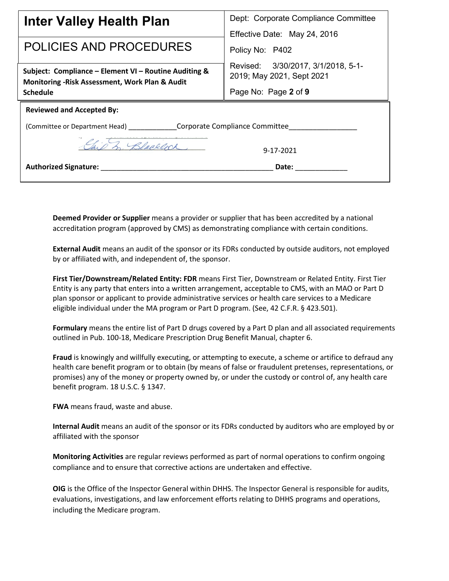| Inter Valley Health Plan                                                                                 | Dept: Corporate Compliance Committee                            |
|----------------------------------------------------------------------------------------------------------|-----------------------------------------------------------------|
| POLICIES AND PROCEDURES                                                                                  | Effective Date: May 24, 2016<br>Policy No: P402                 |
| Subject: Compliance - Element VI - Routine Auditing &<br>Monitoring - Risk Assessment, Work Plan & Audit | Revised: 3/30/2017, 3/1/2018, 5-1-<br>2019; May 2021, Sept 2021 |
| <b>Schedule</b>                                                                                          | Page No: Page 2 of 9                                            |
| <b>Reviewed and Accepted By:</b>                                                                         |                                                                 |
| (Committee or Department Head) ________________Corporate Compliance Committee                            |                                                                 |
| Blacklock                                                                                                | 9-17-2021                                                       |
| <b>Authorized Signature:</b>                                                                             | Date:                                                           |

**Deemed Provider or Supplier** means a provider or supplier that has been accredited by a national accreditation program (approved by CMS) as demonstrating compliance with certain conditions.

**External Audit** means an audit of the sponsor or its FDRs conducted by outside auditors, not employed by or affiliated with, and independent of, the sponsor.

**First Tier/Downstream/Related Entity: FDR** means First Tier, Downstream or Related Entity. First Tier Entity is any party that enters into a written arrangement, acceptable to CMS, with an MAO or Part D plan sponsor or applicant to provide administrative services or health care services to a Medicare eligible individual under the MA program or Part D program. (See, 42 C.F.R. § 423.501).

**Formulary** means the entire list of Part D drugs covered by a Part D plan and all associated requirements outlined in Pub. 100-18, Medicare Prescription Drug Benefit Manual, chapter 6.

**Fraud** is knowingly and willfully executing, or attempting to execute, a scheme or artifice to defraud any health care benefit program or to obtain (by means of false or fraudulent pretenses, representations, or promises) any of the money or property owned by, or under the custody or control of, any health care benefit program. 18 U.S.C. § 1347.

**FWA** means fraud, waste and abuse.

**Internal Audit** means an audit of the sponsor or its FDRs conducted by auditors who are employed by or affiliated with the sponsor

**Monitoring Activities** are regular reviews performed as part of normal operations to confirm ongoing compliance and to ensure that corrective actions are undertaken and effective.

**OIG** is the Office of the Inspector General within DHHS. The Inspector General is responsible for audits, evaluations, investigations, and law enforcement efforts relating to DHHS programs and operations, including the Medicare program.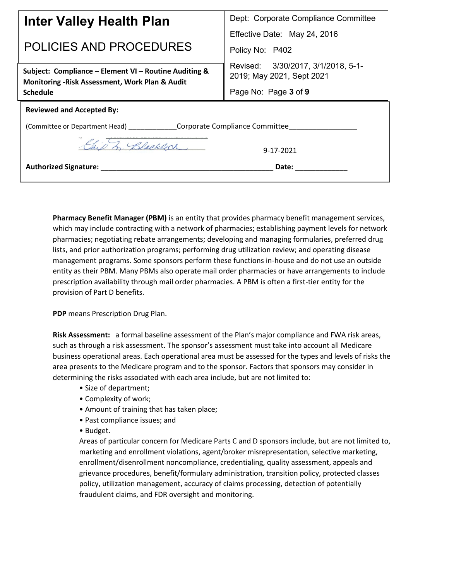| Inter Valley Health Plan                                                                                 | Dept: Corporate Compliance Committee<br>Effective Date: May 24, 2016 |
|----------------------------------------------------------------------------------------------------------|----------------------------------------------------------------------|
| POLICIES AND PROCEDURES                                                                                  | Policy No: P402                                                      |
| Subject: Compliance - Element VI - Routine Auditing &<br>Monitoring - Risk Assessment, Work Plan & Audit | Revised: 3/30/2017, 3/1/2018, 5-1-<br>2019; May 2021, Sept 2021      |
| <b>Schedule</b>                                                                                          | Page No: Page 3 of 9                                                 |
| <b>Reviewed and Accepted By:</b>                                                                         |                                                                      |
| (Committee or Department Head) _________________Corporate Compliance Committee                           |                                                                      |
| Blacklock                                                                                                | 9-17-2021                                                            |
| <b>Authorized Signature:</b>                                                                             | Date:                                                                |

**Pharmacy Benefit Manager (PBM)** is an entity that provides pharmacy benefit management services, which may include contracting with a network of pharmacies; establishing payment levels for network pharmacies; negotiating rebate arrangements; developing and managing formularies, preferred drug lists, and prior authorization programs; performing drug utilization review; and operating disease management programs. Some sponsors perform these functions in-house and do not use an outside entity as their PBM. Many PBMs also operate mail order pharmacies or have arrangements to include prescription availability through mail order pharmacies. A PBM is often a first-tier entity for the provision of Part D benefits.

**PDP** means Prescription Drug Plan.

**Risk Assessment:** a formal baseline assessment of the Plan's major compliance and FWA risk areas, such as through a risk assessment. The sponsor's assessment must take into account all Medicare business operational areas. Each operational area must be assessed for the types and levels of risks the area presents to the Medicare program and to the sponsor. Factors that sponsors may consider in determining the risks associated with each area include, but are not limited to:

- Size of department;
- Complexity of work;
- Amount of training that has taken place;
- Past compliance issues; and
- Budget.

Areas of particular concern for Medicare Parts C and D sponsors include, but are not limited to, marketing and enrollment violations, agent/broker misrepresentation, selective marketing, enrollment/disenrollment noncompliance, credentialing, quality assessment, appeals and grievance procedures, benefit/formulary administration, transition policy, protected classes policy, utilization management, accuracy of claims processing, detection of potentially fraudulent claims, and FDR oversight and monitoring.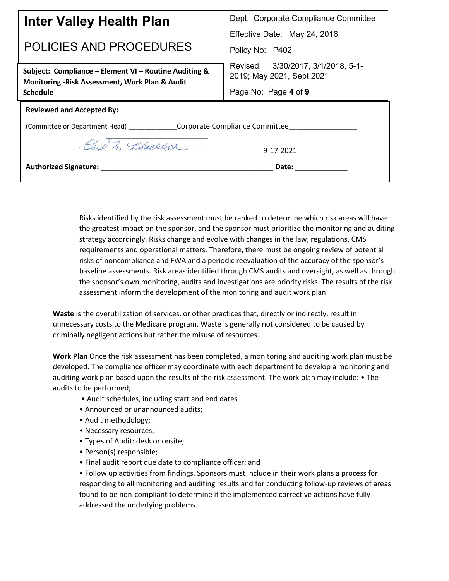| Inter Valley Health Plan                                                                                 | Dept: Corporate Compliance Committee                            |
|----------------------------------------------------------------------------------------------------------|-----------------------------------------------------------------|
| POLICIES AND PROCEDURES                                                                                  | Effective Date: May 24, 2016<br>Policy No: P402                 |
| Subject: Compliance - Element VI - Routine Auditing &<br>Monitoring - Risk Assessment, Work Plan & Audit | Revised: 3/30/2017, 3/1/2018, 5-1-<br>2019; May 2021, Sept 2021 |
| <b>Schedule</b>                                                                                          | Page No: Page 4 of 9                                            |
| <b>Reviewed and Accepted By:</b>                                                                         |                                                                 |
| (Committee or Department Head) __________________Corporate Compliance Committee                          |                                                                 |
| Blacklock                                                                                                | 9-17-2021                                                       |
| <b>Authorized Signature:</b>                                                                             | Date:                                                           |
|                                                                                                          |                                                                 |

Risks identified by the risk assessment must be ranked to determine which risk areas will have the greatest impact on the sponsor, and the sponsor must prioritize the monitoring and auditing strategy accordingly. Risks change and evolve with changes in the law, regulations, CMS requirements and operational matters. Therefore, there must be ongoing review of potential risks of noncompliance and FWA and a periodic reevaluation of the accuracy of the sponsor's baseline assessments. Risk areas identified through CMS audits and oversight, as well as through the sponsor's own monitoring, audits and investigations are priority risks. The results of the risk assessment inform the development of the monitoring and audit work plan

**Waste** is the overutilization of services, or other practices that, directly or indirectly, result in unnecessary costs to the Medicare program. Waste is generally not considered to be caused by criminally negligent actions but rather the misuse of resources.

**Work Plan** Once the risk assessment has been completed, a monitoring and auditing work plan must be developed. The compliance officer may coordinate with each department to develop a monitoring and auditing work plan based upon the results of the risk assessment. The work plan may include: • The audits to be performed;

- Audit schedules, including start and end dates
- Announced or unannounced audits;
- Audit methodology;
- Necessary resources;
- Types of Audit: desk or onsite;
- Person(s) responsible;
- Final audit report due date to compliance officer; and

• Follow up activities from findings. Sponsors must include in their work plans a process for responding to all monitoring and auditing results and for conducting follow-up reviews of areas found to be non-compliant to determine if the implemented corrective actions have fully addressed the underlying problems.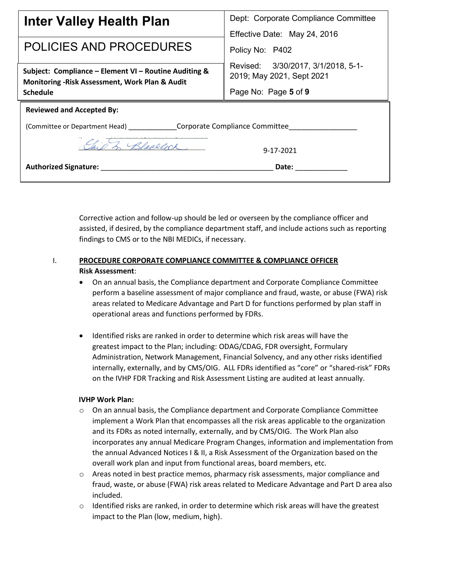| Dept: Corporate Compliance Committee                                         |  |
|------------------------------------------------------------------------------|--|
| Effective Date: May 24, 2016<br>Policy No: P402                              |  |
| Revised: 3/30/2017, 3/1/2018, 5-1-<br>2019; May 2021, Sept 2021              |  |
| Page No: Page 5 of 9                                                         |  |
| <b>Reviewed and Accepted By:</b>                                             |  |
| (Committee or Department Head) _______________Corporate Compliance Committee |  |
| 9-17-2021                                                                    |  |
| Date:                                                                        |  |
|                                                                              |  |

Corrective action and follow-up should be led or overseen by the compliance officer and assisted, if desired, by the compliance department staff, and include actions such as reporting findings to CMS or to the NBI MEDICs, if necessary.

## I. **PROCEDURE CORPORATE COMPLIANCE COMMITTEE & COMPLIANCE OFFICER Risk Assessment**:

- On an annual basis, the Compliance department and Corporate Compliance Committee perform a baseline assessment of major compliance and fraud, waste, or abuse (FWA) risk areas related to Medicare Advantage and Part D for functions performed by plan staff in operational areas and functions performed by FDRs.
- Identified risks are ranked in order to determine which risk areas will have the greatest impact to the Plan; including: ODAG/CDAG, FDR oversight, Formulary Administration, Network Management, Financial Solvency, and any other risks identified internally, externally, and by CMS/OIG. ALL FDRs identified as "core" or "shared-risk" FDRs on the IVHP FDR Tracking and Risk Assessment Listing are audited at least annually.

#### **IVHP Work Plan:**

- $\circ$  On an annual basis, the Compliance department and Corporate Compliance Committee implement a Work Plan that encompasses all the risk areas applicable to the organization and its FDRs as noted internally, externally, and by CMS/OIG. The Work Plan also incorporates any annual Medicare Program Changes, information and implementation from the annual Advanced Notices I & II, a Risk Assessment of the Organization based on the overall work plan and input from functional areas, board members, etc.
- o Areas noted in best practice memos, pharmacy risk assessments, major compliance and fraud, waste, or abuse (FWA) risk areas related to Medicare Advantage and Part D area also included.
- $\circ$  Identified risks are ranked, in order to determine which risk areas will have the greatest impact to the Plan (low, medium, high).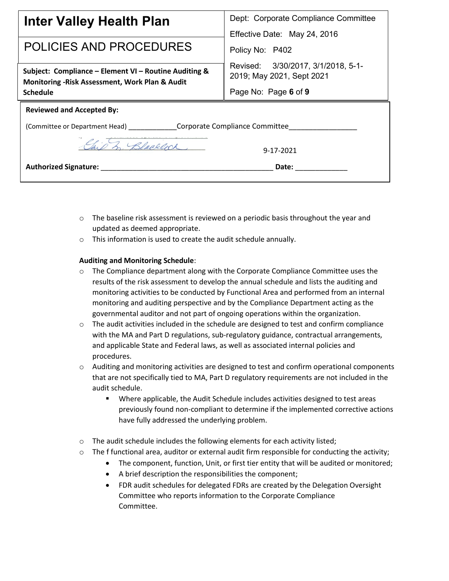| Inter Valley Health Plan                                                                                 | Dept: Corporate Compliance Committee                            |
|----------------------------------------------------------------------------------------------------------|-----------------------------------------------------------------|
| POLICIES AND PROCEDURES                                                                                  | Effective Date: May 24, 2016<br>Policy No: P402                 |
| Subject: Compliance - Element VI - Routine Auditing &<br>Monitoring - Risk Assessment, Work Plan & Audit | Revised: 3/30/2017, 3/1/2018, 5-1-<br>2019; May 2021, Sept 2021 |
| <b>Schedule</b>                                                                                          | Page No: Page 6 of 9                                            |
| <b>Reviewed and Accepted By:</b>                                                                         |                                                                 |
| (Committee or Department Head) _________________Corporate Compliance Committee                           |                                                                 |
| 3. Blacklock                                                                                             | 9-17-2021                                                       |
| <b>Authorized Signature:</b>                                                                             | Date:                                                           |

- $\circ$  The baseline risk assessment is reviewed on a periodic basis throughout the year and updated as deemed appropriate.
- o This information is used to create the audit schedule annually.

#### **Auditing and Monitoring Schedule**:

- $\circ$  The Compliance department along with the Corporate Compliance Committee uses the results of the risk assessment to develop the annual schedule and lists the auditing and monitoring activities to be conducted by Functional Area and performed from an internal monitoring and auditing perspective and by the Compliance Department acting as the governmental auditor and not part of ongoing operations within the organization.
- $\circ$  The audit activities included in the schedule are designed to test and confirm compliance with the MA and Part D regulations, sub-regulatory guidance, contractual arrangements, and applicable State and Federal laws, as well as associated internal policies and procedures.
- $\circ$  Auditing and monitoring activities are designed to test and confirm operational components that are not specifically tied to MA, Part D regulatory requirements are not included in the audit schedule.
	- Where applicable, the Audit Schedule includes activities designed to test areas previously found non-compliant to determine if the implemented corrective actions have fully addressed the underlying problem.
- $\circ$  The audit schedule includes the following elements for each activity listed;
- $\circ$  The f functional area, auditor or external audit firm responsible for conducting the activity;
	- The component, function, Unit, or first tier entity that will be audited or monitored;
	- A brief description the responsibilities the component;
	- FDR audit schedules for delegated FDRs are created by the Delegation Oversight Committee who reports information to the Corporate Compliance Committee.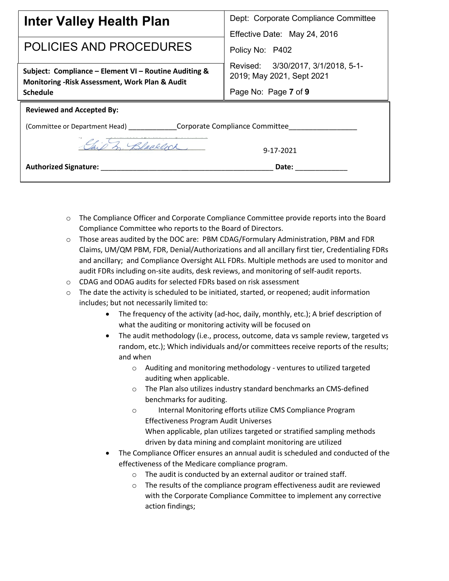| Inter Valley Health Plan                                                                                                    | Dept: Corporate Compliance Committee                                                    |
|-----------------------------------------------------------------------------------------------------------------------------|-----------------------------------------------------------------------------------------|
| POLICIES AND PROCEDURES                                                                                                     | Effective Date: May 24, 2016<br>Policy No: P402                                         |
| Subject: Compliance - Element VI - Routine Auditing &<br>Monitoring - Risk Assessment, Work Plan & Audit<br><b>Schedule</b> | Revised: 3/30/2017, 3/1/2018, 5-1-<br>2019; May 2021, Sept 2021<br>Page No: Page 7 of 9 |
| <b>Reviewed and Accepted By:</b>                                                                                            |                                                                                         |
|                                                                                                                             |                                                                                         |
| 3. Blacklock                                                                                                                | 9-17-2021                                                                               |
| <b>Authorized Signature:</b>                                                                                                | Date:                                                                                   |

- o The Compliance Officer and Corporate Compliance Committee provide reports into the Board Compliance Committee who reports to the Board of Directors.
- o Those areas audited by the DOC are: PBM CDAG/Formulary Administration, PBM and FDR Claims, UM/QM PBM, FDR, Denial/Authorizations and all ancillary first tier, Credentialing FDRs and ancillary; and Compliance Oversight ALL FDRs. Multiple methods are used to monitor and audit FDRs including on-site audits, desk reviews, and monitoring of self-audit reports.
- o CDAG and ODAG audits for selected FDRs based on risk assessment
- $\circ$  The date the activity is scheduled to be initiated, started, or reopened; audit information includes; but not necessarily limited to:
	- The frequency of the activity (ad-hoc, daily, monthly, etc.); A brief description of what the auditing or monitoring activity will be focused on
	- The audit methodology (i.e., process, outcome, data vs sample review, targeted vs random, etc.); Which individuals and/or committees receive reports of the results; and when
		- o Auditing and monitoring methodology ventures to utilized targeted auditing when applicable.
		- o The Plan also utilizes industry standard benchmarks an CMS-defined benchmarks for auditing.
		- o Internal Monitoring efforts utilize CMS Compliance Program Effectiveness Program Audit Universes When applicable, plan utilizes targeted or stratified sampling methods driven by data mining and complaint monitoring are utilized
	- The Compliance Officer ensures an annual audit is scheduled and conducted of the effectiveness of the Medicare compliance program.
		- o The audit is conducted by an external auditor or trained staff.
		- o The results of the compliance program effectiveness audit are reviewed with the Corporate Compliance Committee to implement any corrective action findings;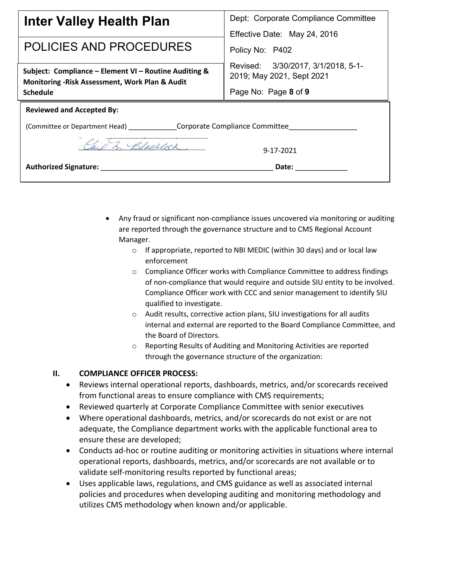| Inter Valley Health Plan                                                                                 | Dept: Corporate Compliance Committee                            |
|----------------------------------------------------------------------------------------------------------|-----------------------------------------------------------------|
| POLICIES AND PROCEDURES                                                                                  | Effective Date: May 24, 2016<br>Policy No: P402                 |
| Subject: Compliance - Element VI - Routine Auditing &<br>Monitoring - Risk Assessment, Work Plan & Audit | Revised: 3/30/2017, 3/1/2018, 5-1-<br>2019; May 2021, Sept 2021 |
| <b>Schedule</b>                                                                                          | Page No: Page 8 of 9                                            |
| <b>Reviewed and Accepted By:</b>                                                                         |                                                                 |
| (Committee or Department Head) _________________Corporate Compliance Committee                           |                                                                 |
| Blacklock                                                                                                | 9-17-2021                                                       |
| <b>Authorized Signature:</b>                                                                             | Date:                                                           |

- Any fraud or significant non-compliance issues uncovered via monitoring or auditing are reported through the governance structure and to CMS Regional Account Manager.
	- o If appropriate, reported to NBI MEDIC (within 30 days) and or local law enforcement
	- $\circ$  Compliance Officer works with Compliance Committee to address findings of non-compliance that would require and outside SIU entity to be involved. Compliance Officer work with CCC and senior management to identify SIU qualified to investigate.
	- o Audit results, corrective action plans, SIU investigations for all audits internal and external are reported to the Board Compliance Committee, and the Board of Directors.
	- o Reporting Results of Auditing and Monitoring Activities are reported through the governance structure of the organization:

# **II. COMPLIANCE OFFICER PROCESS:**

- Reviews internal operational reports, dashboards, metrics, and/or scorecards received from functional areas to ensure compliance with CMS requirements;
- Reviewed quarterly at Corporate Compliance Committee with senior executives
- Where operational dashboards, metrics, and/or scorecards do not exist or are not adequate, the Compliance department works with the applicable functional area to ensure these are developed;
- Conducts ad-hoc or routine auditing or monitoring activities in situations where internal operational reports, dashboards, metrics, and/or scorecards are not available or to validate self-monitoring results reported by functional areas;
- Uses applicable laws, regulations, and CMS guidance as well as associated internal policies and procedures when developing auditing and monitoring methodology and utilizes CMS methodology when known and/or applicable.